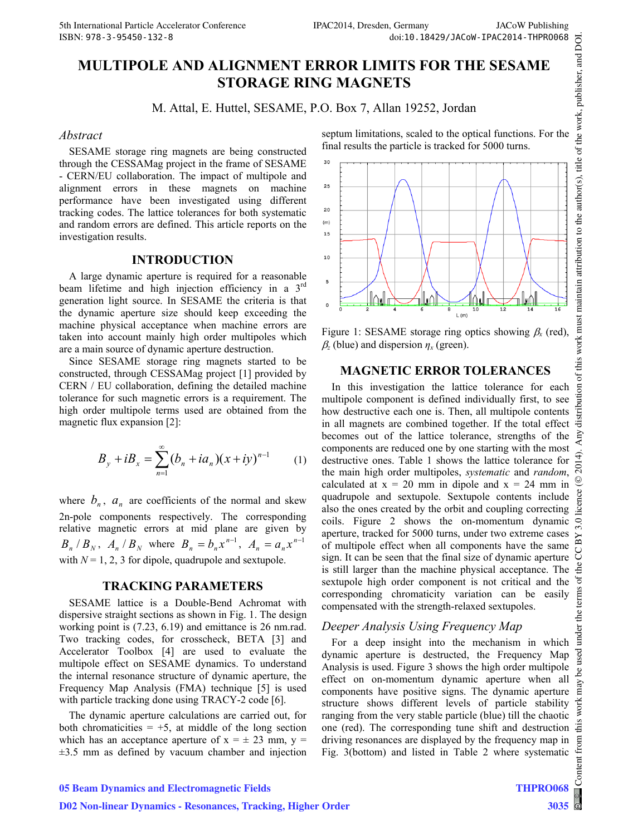# **MULTIPOLE AND ALIGNMENT ERROR LIMITS FOR THE SESAME STORAGE RING MAGNETS**

M. Attal, E. Huttel, SESAME, P.O. Box 7, Allan 19252, Jordan

#### *Abstract*

SESAME storage ring magnets are being constructed through the CESSAMag project in the frame of SESAME - CERN/EU collaboration. The impact of multipole and alignment errors in these magnets on machine performance have been investigated using different tracking codes. The lattice tolerances for both systematic and random errors are defined. This article reports on the investigation results.

#### **INTRODUCTION**

A large dynamic aperture is required for a reasonable beam lifetime and high injection efficiency in a 3<sup>rd</sup> generation light source. In SESAME the criteria is that the dynamic aperture size should keep exceeding the machine physical acceptance when machine errors are taken into account mainly high order multipoles which are a main source of dynamic aperture destruction.

Since SESAME storage ring magnets started to be constructed, through CESSAMag project [1] provided by CERN / EU collaboration, defining the detailed machine tolerance for such magnetic errors is a requirement. The high order multipole terms used are obtained from the magnetic flux expansion [2]:

$$
B_y + iB_x = \sum_{n=1}^{\infty} (b_n + ia_n)(x + iy)^{n-1}
$$
 (1)

where  $b_n$ ,  $a_n$  are coefficients of the normal and skew 2n-pole components respectively. The corresponding relative magnetic errors at mid plane are given by  $B_n / B_N$ ,  $A_n / B_N$  where  $B_n = b_n x^{n-1}$ ,  $A_n = a_n x^{n-1}$ with  $N = 1, 2, 3$  for dipole, quadrupole and sextupole.

#### **TRACKING PARAMETERS**

SESAME lattice is a Double-Bend Achromat with dispersive straight sections as shown in Fig. 1. The design working point is (7.23, 6.19) and emittance is 26 nm.rad. Two tracking codes, for crosscheck, BETA [3] and Accelerator Toolbox [4] are used to evaluate the multipole effect on SESAME dynamics. To understand the internal resonance structure of dynamic aperture, the Frequency Map Analysis (FMA) technique [5] is used with particle tracking done using TRACY-2 code [6].

The dynamic aperture calculations are carried out, for both chromaticities  $= +5$ , at middle of the long section which has an acceptance aperture of  $x = \pm 23$  mm,  $y =$  $\pm$ 3.5 mm as defined by vacuum chamber and injection septum limitations, scaled to the optical functions. For the final results the particle is tracked for 5000 turns.



Figure 1: SESAME storage ring optics showing  $\beta_x$  (red),  $\beta$ <sub>z</sub> (blue) and dispersion  $\eta$ <sub>x</sub> (green).

## **MAGNETIC ERROR TOLERANCES**

In this investigation the lattice tolerance for each multipole component is defined individually first, to see how destructive each one is. Then, all multipole contents in all magnets are combined together. If the total effect becomes out of the lattice tolerance, strengths of the components are reduced one by one starting with the most destructive ones. Table 1 shows the lattice tolerance for the main high order multipoles, *systematic* and *random*, calculated at  $x = 20$  mm in dipole and  $x = 24$  mm in quadrupole and sextupole. Sextupole contents include also the ones created by the orbit and coupling correcting coils. Figure 2 shows the on-momentum dynamic aperture, tracked for 5000 turns, under two extreme cases of multipole effect when all components have the same sign. It can be seen that the final size of dynamic aperture is still larger than the machine physical acceptance. The sextupole high order component is not critical and the corresponding chromaticity variation can be easily compensated with the strength-relaxed sextupoles.

## *Deeper Analysis Using Frequency Map*

For a deep insight into the mechanism in which dynamic aperture is destructed, the Frequency Map Analysis is used. Figure 3 shows the high order multipole effect on on-momentum dynamic aperture when all components have positive signs. The dynamic aperture structure shows different levels of particle stability ranging from the very stable particle (blue) till the chaotic one (red). The corresponding tune shift and destruction driving resonances are displayed by the frequency map in Fig. 3(bottom) and listed in Table 2 where systematic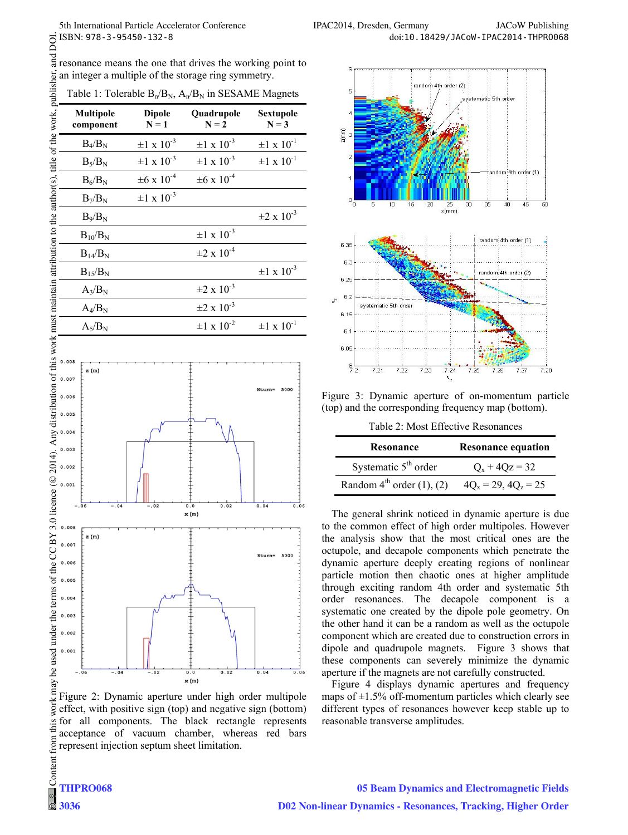|                                                                                     | ISBN: 978-3-95450-132-8                                                                                                                                                                                                                                                               |                          |                                                            |                           |
|-------------------------------------------------------------------------------------|---------------------------------------------------------------------------------------------------------------------------------------------------------------------------------------------------------------------------------------------------------------------------------------|--------------------------|------------------------------------------------------------|---------------------------|
|                                                                                     | as resonance means the one that drives the working point to                                                                                                                                                                                                                           |                          |                                                            |                           |
|                                                                                     | an integer a multiple of the storage ring symmetry.                                                                                                                                                                                                                                   |                          |                                                            |                           |
|                                                                                     |                                                                                                                                                                                                                                                                                       |                          | Table 1: Tolerable $B_n/B_N$ , $A_n/B_N$ in SESAME Magnets |                           |
| this work must maintain attribution to the author(s), title of the work, publisher, | <b>Multipole</b><br>component                                                                                                                                                                                                                                                         | <b>Dipole</b><br>$N = 1$ | Quadrupole<br>$\mathbf{N}=\mathbf{2}$                      | Sextupole<br>$N = 3$      |
|                                                                                     | $B_4/B_N$                                                                                                                                                                                                                                                                             | $\pm 1 \times 10^{-3}$   | $\pm 1 \times 10^{-3}$                                     | $\pm 1 \times 10^{-1}$    |
|                                                                                     | $B_5/B_N$                                                                                                                                                                                                                                                                             | $\pm 1 \times 10^{-3}$   | $\pm 1 \times 10^{-3}$                                     | $\pm 1 \times 10^{-1}$    |
|                                                                                     | $B_6/B_N$                                                                                                                                                                                                                                                                             | $\pm 6 \times 10^{-4}$   | $\pm 6 \times 10^{-4}$                                     |                           |
|                                                                                     | $B_7/B_N$                                                                                                                                                                                                                                                                             | $\pm 1 \times 10^{-3}$   |                                                            |                           |
|                                                                                     | $B_9/B_N$                                                                                                                                                                                                                                                                             |                          |                                                            | $\pm 2 \times 10^{-3}$    |
|                                                                                     | $B_{10}/B_N$                                                                                                                                                                                                                                                                          |                          | $\pm 1 \times 10^{-3}$                                     |                           |
|                                                                                     | $B_{14}/B_N$                                                                                                                                                                                                                                                                          |                          | $\pm 2 \times 10^{-4}$                                     |                           |
|                                                                                     | $B_{15}/B_N$                                                                                                                                                                                                                                                                          |                          |                                                            | $\pm 1 \times 10^{-3}$    |
|                                                                                     | $A_3/B_N$                                                                                                                                                                                                                                                                             |                          | $\pm 2 \times 10^{-3}$                                     |                           |
|                                                                                     | $A_4/B_N$                                                                                                                                                                                                                                                                             |                          | $\pm 2 \times 10^{-3}$                                     |                           |
|                                                                                     | $A_5/B_N$                                                                                                                                                                                                                                                                             |                          | $\pm 1 \times 10^{-2}$                                     | $\pm 1 \times 10^{-1}$    |
|                                                                                     |                                                                                                                                                                                                                                                                                       |                          |                                                            |                           |
|                                                                                     | 0.008<br>z (m)                                                                                                                                                                                                                                                                        |                          |                                                            |                           |
|                                                                                     |                                                                                                                                                                                                                                                                                       |                          |                                                            | 5000<br>Nturn=            |
|                                                                                     |                                                                                                                                                                                                                                                                                       |                          |                                                            |                           |
|                                                                                     |                                                                                                                                                                                                                                                                                       |                          |                                                            |                           |
|                                                                                     | $2014$ ). Any distribution of $\frac{1}{2}$ and $\frac{1}{2}$ and $\frac{1}{2}$ and $\frac{1}{2}$ and $\frac{1}{2}$ and $\frac{1}{2}$ and $\frac{1}{2}$ and $\frac{1}{2}$ and $\frac{1}{2}$ and $\frac{1}{2}$ and $\frac{1}{2}$ and $\frac{1}{2}$ and $\frac{1}{2}$ and $\frac{1}{2}$ |                          |                                                            |                           |
|                                                                                     |                                                                                                                                                                                                                                                                                       |                          |                                                            |                           |
|                                                                                     |                                                                                                                                                                                                                                                                                       |                          |                                                            |                           |
| $c$ ence $($                                                                        | 0.001                                                                                                                                                                                                                                                                                 |                          |                                                            |                           |
|                                                                                     | $-.06$<br>$-.04$                                                                                                                                                                                                                                                                      | $-0.02$                  | 0.02<br>0.0<br>x(m)                                        | 0.04<br>0.06              |
|                                                                                     | .008                                                                                                                                                                                                                                                                                  |                          |                                                            |                           |
|                                                                                     | z (m)<br>0.007                                                                                                                                                                                                                                                                        |                          |                                                            |                           |
|                                                                                     | 0.006                                                                                                                                                                                                                                                                                 |                          |                                                            | 5000<br>Nturn=            |
|                                                                                     | 0.005                                                                                                                                                                                                                                                                                 |                          |                                                            |                           |
|                                                                                     | 0.004                                                                                                                                                                                                                                                                                 |                          |                                                            |                           |
|                                                                                     | 0.003                                                                                                                                                                                                                                                                                 |                          |                                                            |                           |
|                                                                                     | 0.002                                                                                                                                                                                                                                                                                 |                          |                                                            |                           |
|                                                                                     | 0.001                                                                                                                                                                                                                                                                                 |                          |                                                            |                           |
| ontent from this work may be used under the terms of the CC BY                      | 06<br>04                                                                                                                                                                                                                                                                              | .02                      | 0.02<br>0.0<br>x(m)                                        | 0.04<br>0.06              |
|                                                                                     | Figure 2: Dynamic aperture under high order multipole                                                                                                                                                                                                                                 |                          |                                                            |                           |
|                                                                                     | effect, with positive sign (top) and negative sign (bottom)                                                                                                                                                                                                                           |                          |                                                            |                           |
|                                                                                     | for all components.<br>acceptance of vacuum chamber,                                                                                                                                                                                                                                  |                          | The black rectangle<br>whereas                             | represents<br>red<br>bars |
|                                                                                     | represent injection septum sheet limitation.                                                                                                                                                                                                                                          |                          |                                                            |                           |
|                                                                                     |                                                                                                                                                                                                                                                                                       |                          |                                                            |                           |
|                                                                                     |                                                                                                                                                                                                                                                                                       |                          |                                                            |                           |

work ma Figure 2: Dynamic aperture under high order multipole effect, with positive sign (top) and negative sign (bottom)  $\frac{1}{2}$  for all components. The black rectangle represents acceptance of vacuum chamber, whereas red bars Content from represent injection septum sheet limitation.



Figure 3: Dynamic aperture of on-momentum particle (top) and the corresponding frequency map (bottom).

Table 2: Most Effective Resonances

| Resonance                                  | <b>Resonance equation</b> |  |
|--------------------------------------------|---------------------------|--|
| Systematic $5th$ order                     | $Q_x + 4Qz = 32$          |  |
| Random $4^{\text{th}}$ order $(1)$ , $(2)$ | $4Q_x = 29$ , $4Q_z = 25$ |  |

The general shrink noticed in dynamic aperture is due to the common effect of high order multipoles. However the analysis show that the most critical ones are the octupole, and decapole components which penetrate the dynamic aperture deeply creating regions of nonlinear particle motion then chaotic ones at higher amplitude through exciting random 4th order and systematic 5th order resonances. The decapole component is a systematic one created by the dipole pole geometry. On the other hand it can be a random as well as the octupole component which are created due to construction errors in dipole and quadrupole magnets. Figure 3 shows that these components can severely minimize the dynamic aperture if the magnets are not carefully constructed.

Figure 4 displays dynamic apertures and frequency maps of  $\pm 1.5\%$  off-momentum particles which clearly see different types of resonances however keep stable up to reasonable transverse amplitudes.

**3036**